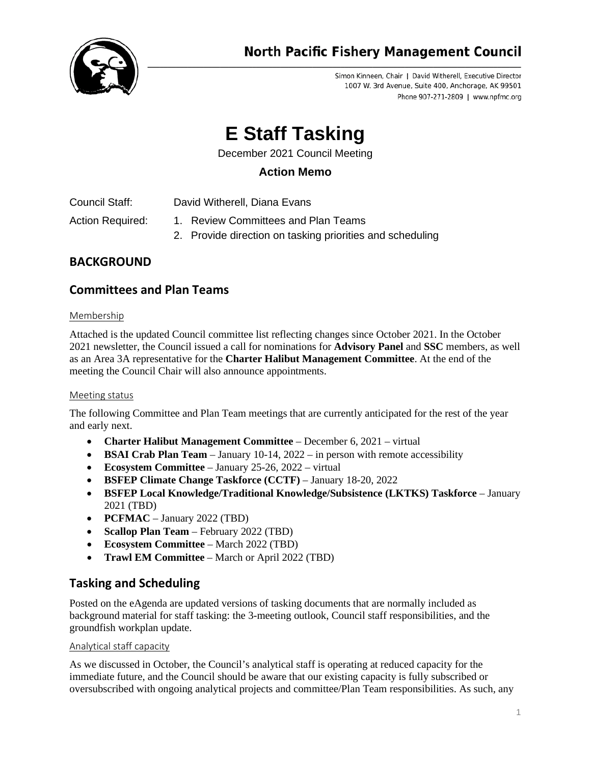

Simon Kinneen, Chair | David Witherell, Executive Director 1007 W. 3rd Avenue, Suite 400, Anchorage, AK 99501 Phone 907-271-2809 | www.npfmc.org

# **E Staff Tasking**

December 2021 Council Meeting

## **Action Memo**

Council Staff: David Witherell, Diana Evans

- Action Required: 1. Review Committees and Plan Teams
	- 2. Provide direction on tasking priorities and scheduling

# **BACKGROUND**

## **Committees and Plan Teams**

## Membership

Attached is the updated Council committee list reflecting changes since October 2021. In the October 2021 newsletter, the Council issued a call for nominations for **Advisory Panel** and **SSC** members, as well as an Area 3A representative for the **Charter Halibut Management Committee**. At the end of the meeting the Council Chair will also announce appointments.

## Meeting status

The following Committee and Plan Team meetings that are currently anticipated for the rest of the year and early next.

- **Charter Halibut Management Committee**  December 6, 2021 virtual
- **BSAI Crab Plan Team** January 10-14, 2022 in person with remote accessibility
- **Ecosystem Committee** January 25-26, 2022 virtual
- **BSFEP Climate Change Taskforce (CCTF)** January 18-20, 2022
- **BSFEP Local Knowledge/Traditional Knowledge/Subsistence (LKTKS) Taskforce** January 2021 (TBD)
- **PCFMAC** January 2022 (TBD)
- **Scallop Plan Team** February 2022 (TBD)
- **Ecosystem Committee**  March 2022 (TBD)
- **Trawl EM Committee** March or April 2022 (TBD)

# **Tasking and Scheduling**

Posted on the eAgenda are updated versions of tasking documents that are normally included as background material for staff tasking: the 3-meeting outlook, Council staff responsibilities, and the groundfish workplan update.

## Analytical staff capacity

As we discussed in October, the Council's analytical staff is operating at reduced capacity for the immediate future, and the Council should be aware that our existing capacity is fully subscribed or oversubscribed with ongoing analytical projects and committee/Plan Team responsibilities. As such, any